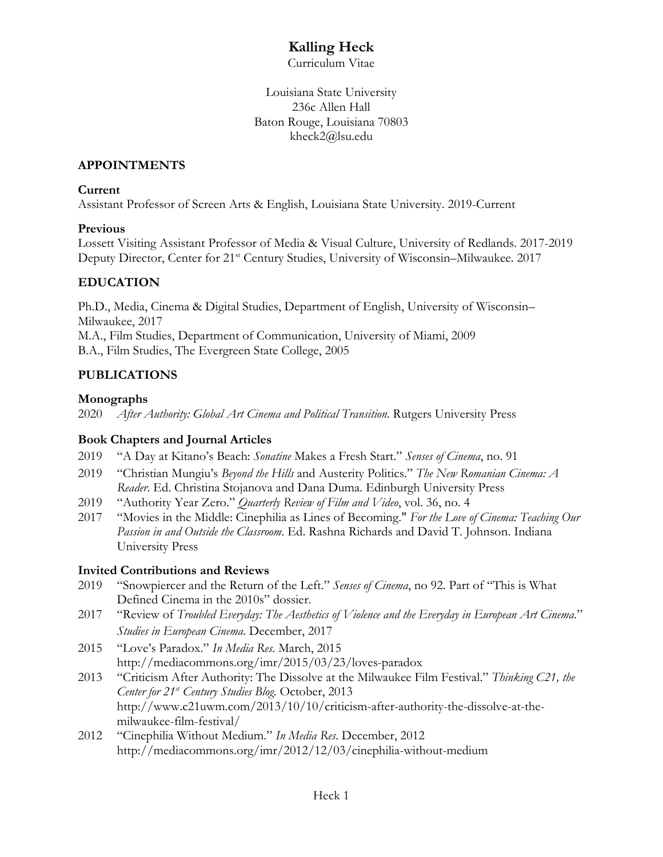# **Kalling Heck**

Curriculum Vitae

Louisiana State University 236c Allen Hall Baton Rouge, Louisiana 70803 kheck2@lsu.edu

#### **APPOINTMENTS**

#### **Current**

Assistant Professor of Screen Arts & English, Louisiana State University. 2019-Current

### **Previous**

Lossett Visiting Assistant Professor of Media & Visual Culture, University of Redlands. 2017-2019 Deputy Director, Center for 21<sup>st</sup> Century Studies, University of Wisconsin–Milwaukee. 2017

## **EDUCATION**

Ph.D., Media, Cinema & Digital Studies, Department of English, University of Wisconsin– Milwaukee, 2017 M.A., Film Studies, Department of Communication, University of Miami, 2009 B.A., Film Studies, The Evergreen State College, 2005

# **PUBLICATIONS**

### **Monographs**

2020 *After Authority: Global Art Cinema and Political Transition*. Rutgers University Press

## **Book Chapters and Journal Articles**

- 2019 "A Day at Kitano's Beach: *Sonatine* Makes a Fresh Start." *Senses of Cinema*, no. 91
- 2019 "Christian Mungiu's *Beyond the Hills* and Austerity Politics." *The New Romanian Cinema: A Reader*. Ed. Christina Stojanova and Dana Duma. Edinburgh University Press
- 2019 "Authority Year Zero." *Quarterly Review of Film and Video*, vol. 36, no. 4
- 2017 "Movies in the Middle: Cinephilia as Lines of Becoming." *For the Love of Cinema: Teaching Our Passion in and Outside the Classroom*. Ed. Rashna Richards and David T. Johnson. Indiana University Press

## **Invited Contributions and Reviews**

- 2019 "Snowpiercer and the Return of the Left." *Senses of Cinema*, no 92. Part of "This is What Defined Cinema in the 2010s" dossier.
- 2017 "Review of *Troubled Everyday: The Aesthetics of Violence and the Everyday in European Art Cinema*." *Studies in European Cinema*. December, 2017
- 2015 "Love's Paradox." *In Media Res*. March, 2015 http://mediacommons.org/imr/2015/03/23/loves-paradox
- 2013 "Criticism After Authority: The Dissolve at the Milwaukee Film Festival." *Thinking C21, the Center for 21st Century Studies Blog*. October, 2013 http://www.c21uwm.com/2013/10/10/criticism-after-authority-the-dissolve-at-themilwaukee-film-festival/
- 2012 "Cinephilia Without Medium." *In Media Res*. December, 2012 http://mediacommons.org/imr/2012/12/03/cinephilia-without-medium